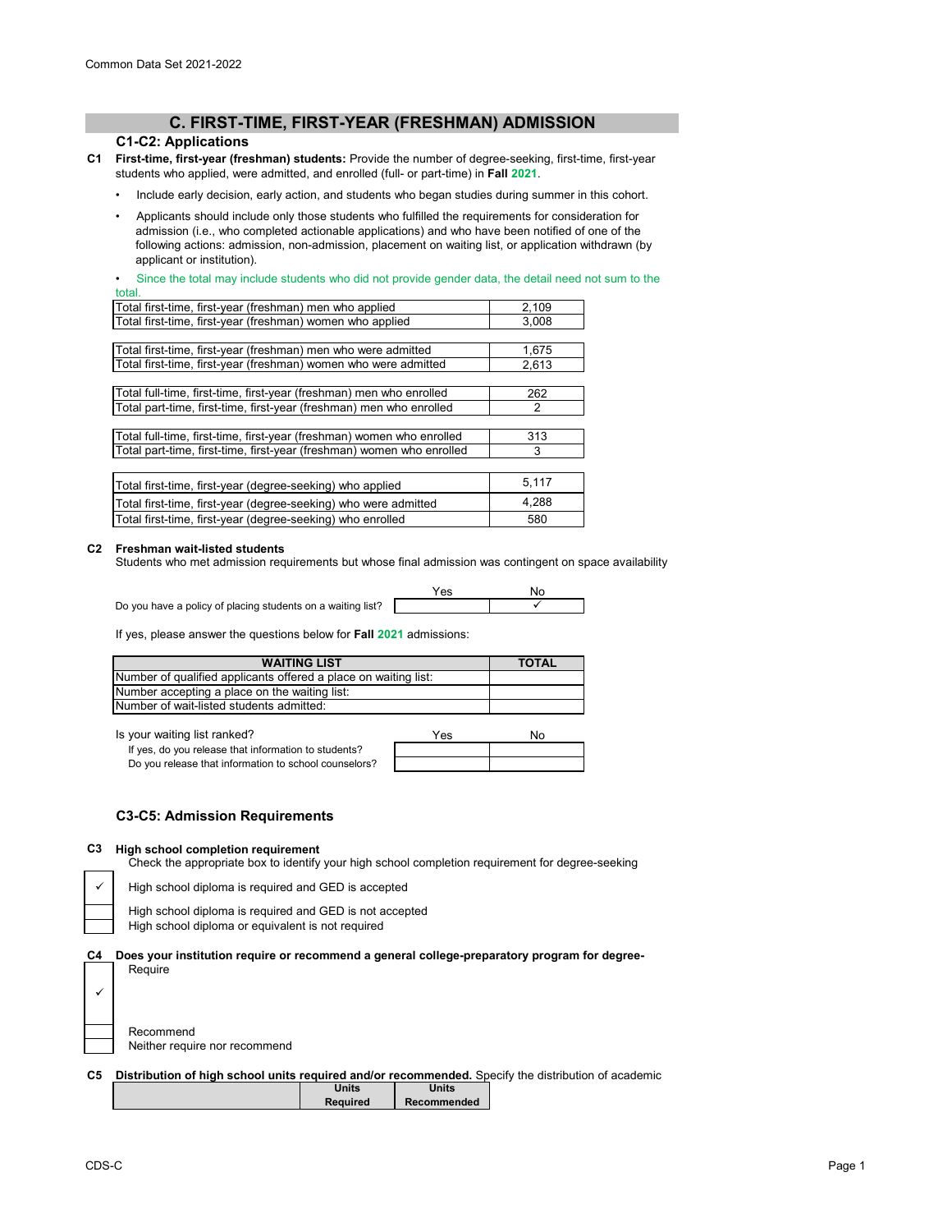# **C. FIRST-TIME, FIRST-YEAR (FRESHMAN) ADMISSION**

### **C1-C2: Applications**

- **C1 First-time, first-year (freshman) students:** Provide the number of degree-seeking, first-time, first-year students who applied, were admitted, and enrolled (full- or part-time) in **Fall 2021**.
	- Include early decision, early action, and students who began studies during summer in this cohort.
	- Applicants should include only those students who fulfilled the requirements for consideration for admission (i.e., who completed actionable applications) and who have been notified of one of the following actions: admission, non-admission, placement on waiting list, or application withdrawn (by applicant or institution).

Since the total may include students who did not provide gender data, the detail need not sum to the total.

| Total first-time, first-year (freshman) men who applied               | 2,109 |
|-----------------------------------------------------------------------|-------|
| Total first-time, first-year (freshman) women who applied             | 3.008 |
|                                                                       |       |
| Total first-time, first-year (freshman) men who were admitted         | 1.675 |
| Total first-time, first-year (freshman) women who were admitted       | 2,613 |
|                                                                       |       |
| Total full-time, first-time, first-year (freshman) men who enrolled   | 262   |
| Total part-time, first-time, first-year (freshman) men who enrolled   | 2     |
|                                                                       |       |
| Total full-time, first-time, first-year (freshman) women who enrolled | 313   |
| Total part-time, first-time, first-year (freshman) women who enrolled | 3     |
|                                                                       |       |
| Total first-time, first-year (degree-seeking) who applied             | 5,117 |
| Total first-time, first-year (degree-seeking) who were admitted       | 4,288 |
| Total first-time, first-year (degree-seeking) who enrolled            | 580   |

#### **C2 Freshman wait-listed students**

Students who met admission requirements but whose final admission was contingent on space availability

Do you have a policy of placing students on a waiting list?

Yes No  $\checkmark$ 

If yes, please answer the questions below for **Fall 2021** admissions:

| <b>WAITING LIST</b>                                             | <b>TOTAL</b> |
|-----------------------------------------------------------------|--------------|
| Number of qualified applicants offered a place on waiting list: |              |
| Number accepting a place on the waiting list:                   |              |
| Number of wait-listed students admitted:                        |              |

Is your waiting list ranked? If your waiting list ranked?

| If yes, do you release that information to students?  |  |
|-------------------------------------------------------|--|
| Do you release that information to school counselors? |  |

#### **C3-C5: Admission Requirements**

#### **C3 High school completion requirement**

Check the appropriate box to identify your high school completion requirement for degree-seeking

High school diploma is required and GED is accepted

High school diploma is required and GED is not accepted High school diploma or equivalent is not required

**C4 Does your institution require or recommend a general college-preparatory program for degree-**Require

 $\checkmark$ 

Recommend Neither require nor recommend

|  |  |  |  | C5 Distribution of high school units required and/or recommended. Specify the distribution of academic |
|--|--|--|--|--------------------------------------------------------------------------------------------------------|
|--|--|--|--|--------------------------------------------------------------------------------------------------------|

| Units           | <b>Units</b> |
|-----------------|--------------|
| <b>Required</b> | Recommended  |
|                 |              |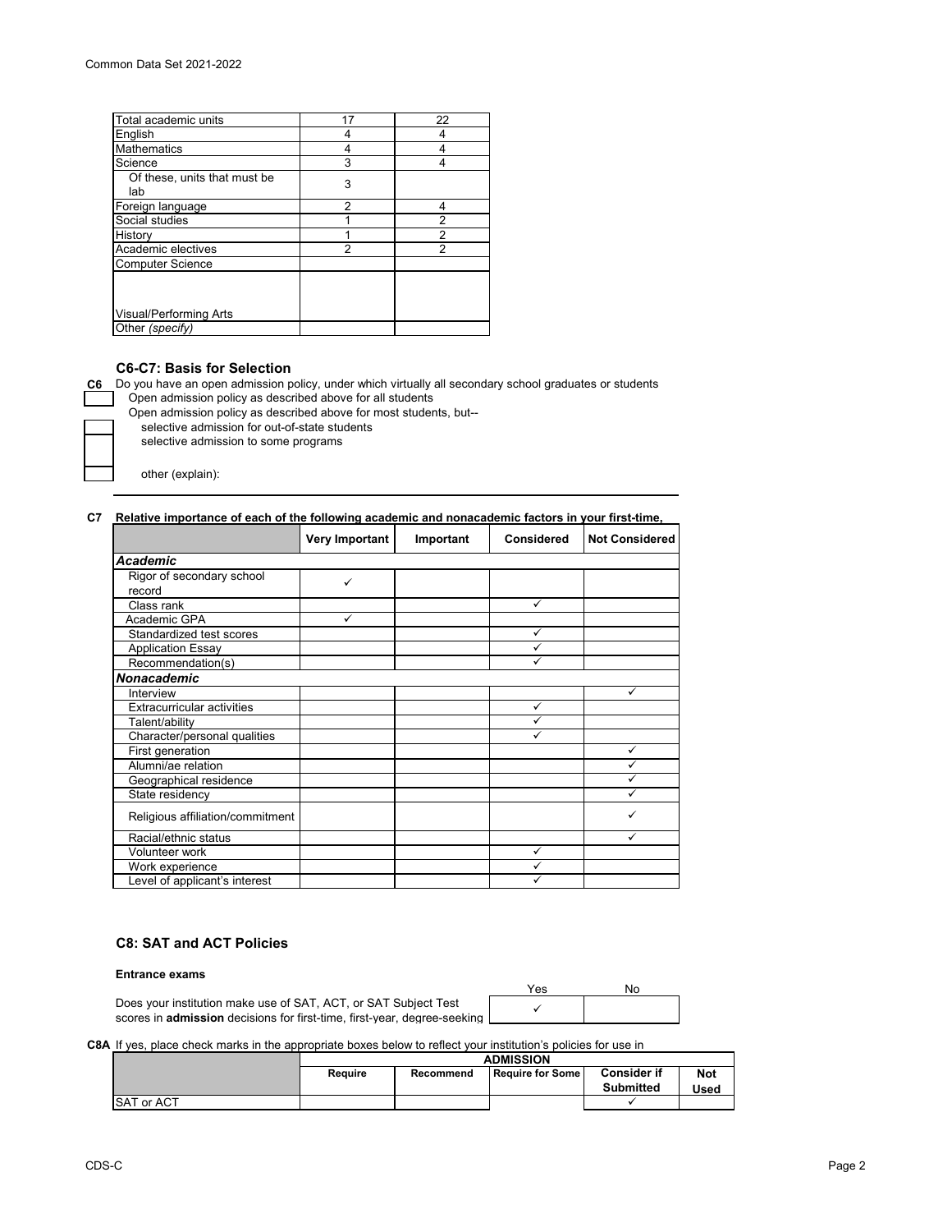| 17<br>22<br>4<br>4<br>4<br>3<br>4<br>Of these, units that must be<br>3<br>lab<br>2<br>4<br>2<br>2<br>1<br>$\overline{2}$<br>2 |                         |  |
|-------------------------------------------------------------------------------------------------------------------------------|-------------------------|--|
|                                                                                                                               | Total academic units    |  |
|                                                                                                                               | English                 |  |
|                                                                                                                               | <b>Mathematics</b>      |  |
|                                                                                                                               | Science                 |  |
|                                                                                                                               |                         |  |
|                                                                                                                               | Foreign language        |  |
|                                                                                                                               | Social studies          |  |
|                                                                                                                               | History                 |  |
|                                                                                                                               | Academic electives      |  |
|                                                                                                                               | <b>Computer Science</b> |  |
|                                                                                                                               |                         |  |
|                                                                                                                               | Visual/Performing Arts  |  |
|                                                                                                                               | Other (specify)         |  |

#### **C6-C7: Basis for Selection**

**C6** Do you have an open admission policy, under which virtually all secondary school graduates or students Open admission policy as described above for all students

Open admission policy as described above for most students, but--

selective admission for out-of-state students

selective admission to some programs

other (explain):

#### **C7 Relative importance of each of the following academic and nonacademic factors in your first-time,**

|                                   | Very Important | Important | <b>Considered</b> | <b>Not Considered</b> |
|-----------------------------------|----------------|-----------|-------------------|-----------------------|
| Academic                          |                |           |                   |                       |
| Rigor of secondary school         | ✓              |           |                   |                       |
| record                            |                |           |                   |                       |
| Class rank                        |                |           | ✓                 |                       |
| Academic GPA                      | ✓              |           |                   |                       |
| Standardized test scores          |                |           | ✓                 |                       |
| <b>Application Essay</b>          |                |           | ✓                 |                       |
| Recommendation(s)                 |                |           | ✓                 |                       |
| <b>Nonacademic</b>                |                |           |                   |                       |
| Interview                         |                |           |                   | ✓                     |
| <b>Extracurricular activities</b> |                |           | ✓                 |                       |
| Talent/ability                    |                |           | ✓                 |                       |
| Character/personal qualities      |                |           | ✓                 |                       |
| First generation                  |                |           |                   | ✓                     |
| Alumni/ae relation                |                |           |                   | ✓                     |
| Geographical residence            |                |           |                   |                       |
| State residency                   |                |           |                   |                       |
| Religious affiliation/commitment  |                |           |                   |                       |
| Racial/ethnic status              |                |           |                   | ✓                     |
| Volunteer work                    |                |           | $\checkmark$      |                       |
| Work experience                   |                |           | ✓                 |                       |
| Level of applicant's interest     |                |           | ✓                 |                       |

# **C8: SAT and ACT Policies**

#### **Entrance exams**

Does your institution make use of SAT, ACT, or SAT Subject Test scores in **admission** decisions for first-time, first-year, degree-seeking Yes No  $\checkmark$ 

**C8A** If yes, place check marks in the appropriate boxes below to reflect your institution's policies for use in

|                   | <b>ADMISSION</b>                                                             |  |  |                  |      |
|-------------------|------------------------------------------------------------------------------|--|--|------------------|------|
|                   | <b>Consider if</b><br><b>Not</b><br>Require for Some<br>Reguire<br>Recommend |  |  |                  |      |
|                   |                                                                              |  |  | <b>Submitted</b> | Used |
| <b>SAT or ACT</b> |                                                                              |  |  |                  |      |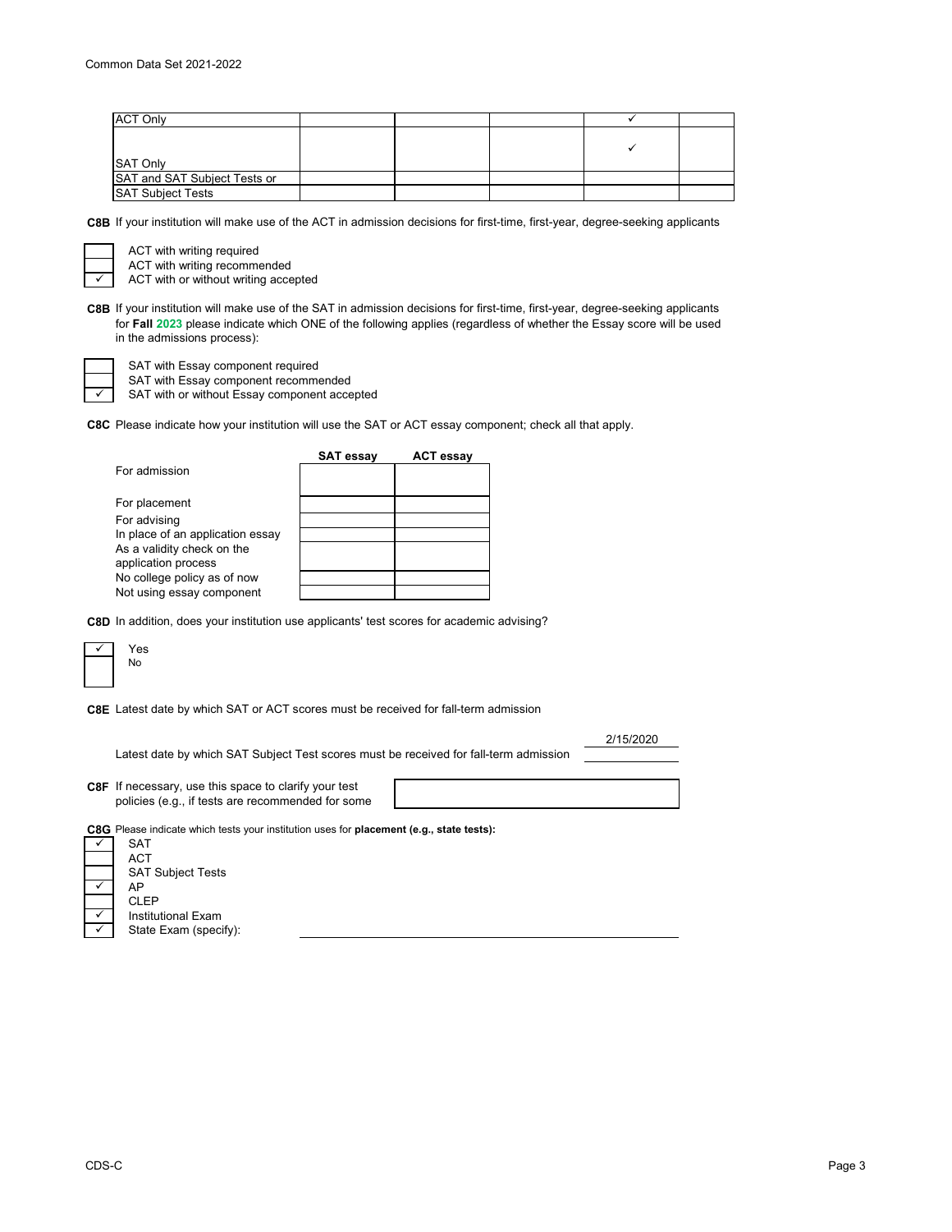| <b>ACT Only</b>              |  |  |  |
|------------------------------|--|--|--|
| <b>SAT Only</b>              |  |  |  |
| SAT and SAT Subject Tests or |  |  |  |
| <b>SAT Subiect Tests</b>     |  |  |  |

**C8B** If your institution will make use of the ACT in admission decisions for first-time, first-year, degree-seeking applicants

 $\checkmark$ 

ACT with writing required ACT with writing recommended

ACT with or without writing accepted

**C8B** If your institution will make use of the SAT in admission decisions for first-time, first-year, degree-seeking applicants for **Fall 2023** please indicate which ONE of the following applies (regardless of whether the Essay score will be used in the admissions process):

SAT with Essay component required

SAT with Essay component recommended

SAT with or without Essay component accepted

**C8C** Please indicate how your institution will use the SAT or ACT essay component; check all that apply.

|                                                   | <b>SAT essay</b> | <b>ACT essay</b> |
|---------------------------------------------------|------------------|------------------|
| For admission                                     |                  |                  |
| For placement                                     |                  |                  |
| For advising                                      |                  |                  |
| In place of an application essay                  |                  |                  |
| As a validity check on the<br>application process |                  |                  |
| No college policy as of now                       |                  |                  |
| Not using essay component                         |                  |                  |

**C8D** In addition, does your institution use applicants' test scores for academic advising?



**C8E** Latest date by which SAT or ACT scores must be received for fall-term admission

Latest date by which SAT Subject Test scores must be received for fall-term admission

2/15/2020

**C8F** If necessary, use this space to clarify your test policies (e.g., if tests are recommended for some

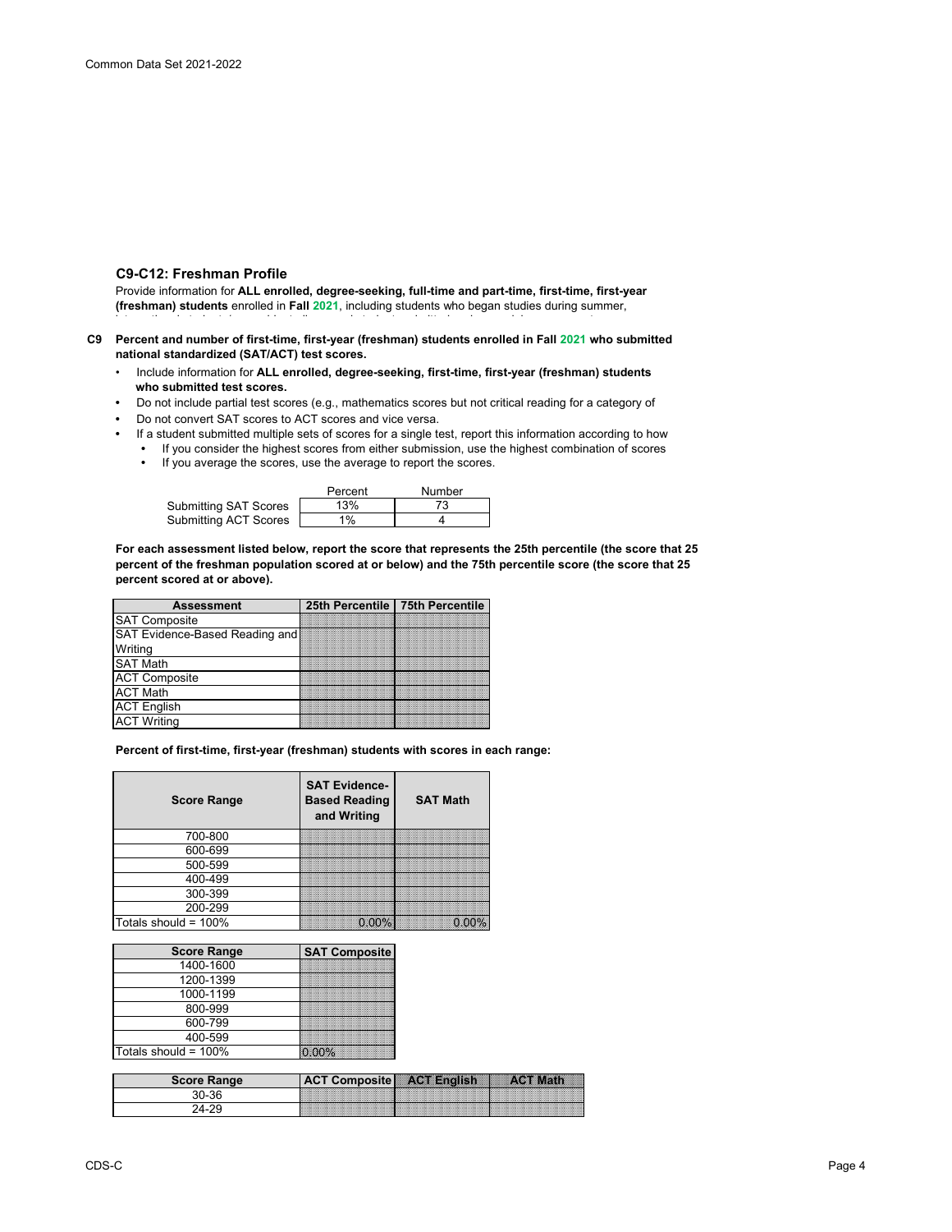#### **C9-C12: Freshman Profile**

Provide information for **ALL enrolled, degree-seeking, full-time and part-time, first-time, first-year (freshman) students** enrolled in **Fall 2021**, including students who began studies during summer,

- **C9 Percent and number of first-time, first-year (freshman) students enrolled in Fall 2021 who submitted national standardized (SAT/ACT) test scores.**
	- Include information for **ALL enrolled, degree-seeking, first-time, first-year (freshman) students who submitted test scores.**<br>• De pot include partial test sco
	- Do not include partial test scores (e.g., mathematics scores but not critical reading for a category of
	- Do not convert SAT scores to ACT scores and vice versa.
	- If a student submitted multiple sets of scores for a single test, report this information according to how
		- If you consider the highest scores from either submission, use the highest combination of scores
		- If you average the scores, use the average to report the scores.

|                              | Percent | Number |
|------------------------------|---------|--------|
| <b>Submitting SAT Scores</b> | 13%     | 73     |
| Submitting ACT Scores        | 1%      |        |

**For each assessment listed below, report the score that represents the 25th percentile (the score that 25 percent of the freshman population scored at or below) and the 75th percentile score (the score that 25 percent scored at or above).**

| <b>Assessment</b>              | 25th Percentile 75th Percentile |
|--------------------------------|---------------------------------|
| <b>SAT Composite</b>           |                                 |
| SAT Evidence-Based Reading and |                                 |
| Writing                        |                                 |
| <b>SAT Math</b>                |                                 |
| <b>ACT Composite</b>           |                                 |
| <b>ACT Math</b>                |                                 |
| <b>ACT English</b>             |                                 |
| <b>ACT Writing</b>             |                                 |

**Percent of first-time, first-year (freshman) students with scores in each range:**

| <b>Score Range</b>      | <b>SAT Evidence-</b><br><b>Based Reading</b><br>and Writing | <b>SAT Math</b> |
|-------------------------|-------------------------------------------------------------|-----------------|
| 700-800                 |                                                             |                 |
| 600-699                 |                                                             |                 |
| 500-599                 |                                                             |                 |
| 400-499                 |                                                             |                 |
| 300-399                 |                                                             |                 |
| 200-299                 |                                                             |                 |
| Totals should = $100\%$ |                                                             |                 |

| <b>Score Range</b>   | <b>SAT Composite</b> |
|----------------------|----------------------|
| 1400-1600            |                      |
| 1200-1399            |                      |
| 1000-1199            |                      |
| 800-999              |                      |
| 600-799              |                      |
| 400-599              |                      |
| Totals should = 100% |                      |

| <b>Score Range</b> | <b>ACT Composite ACT English</b> |
|--------------------|----------------------------------|
| የበ-36              | Mille March March March March    |
|                    |                                  |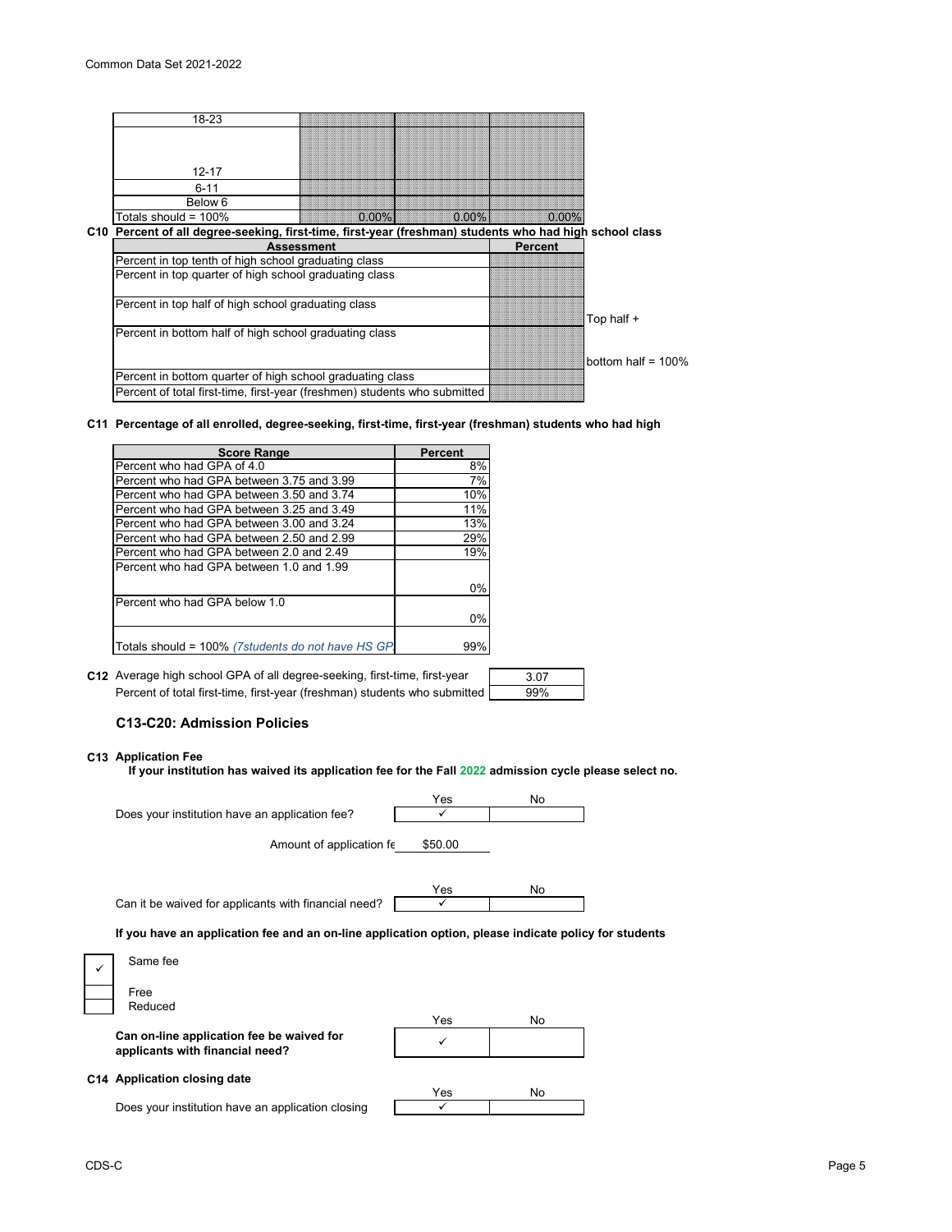| 18-23                                                                                                   |         |       |                |                       |
|---------------------------------------------------------------------------------------------------------|---------|-------|----------------|-----------------------|
|                                                                                                         |         |       |                |                       |
|                                                                                                         |         |       |                |                       |
| $12 - 17$                                                                                               |         |       |                |                       |
| $6 - 11$                                                                                                |         |       |                |                       |
| Below 6                                                                                                 |         |       |                |                       |
| Totals should = $100\%$                                                                                 | O 00% 1 | 0.00% | $0.00\%$       |                       |
| C10 Percent of all degree-seeking, first-time, first-year (freshman) students who had high school class |         |       |                |                       |
| <b>Assessment</b>                                                                                       |         |       | <b>Percent</b> |                       |
| Percent in top tenth of high school graduating class                                                    |         |       |                |                       |
| Percent in top quarter of high school graduating class                                                  |         |       |                |                       |
|                                                                                                         |         |       |                |                       |
| Percent in top half of high school graduating class                                                     |         |       |                |                       |
|                                                                                                         |         |       |                | Top half +            |
| Percent in bottom half of high school graduating class                                                  |         |       |                |                       |
|                                                                                                         |         |       |                |                       |
|                                                                                                         |         |       |                | bottom half = $100\%$ |
| Percent in bottom quarter of high school graduating class                                               |         |       |                |                       |
| Percent of total first-time, first-year (freshmen) students who submitted                               |         |       |                |                       |

#### **C11 Percentage of all enrolled, degree-seeking, first-time, first-year (freshman) students who had high**

| <b>Score Range</b>                                 | Percent |
|----------------------------------------------------|---------|
| Percent who had GPA of 4.0                         | 8%      |
| Percent who had GPA between 3.75 and 3.99          | 7%      |
| Percent who had GPA between 3.50 and 3.74          | 10%     |
| Percent who had GPA between 3.25 and 3.49          | 11%     |
| Percent who had GPA between 3.00 and 3.24          | 13%     |
| Percent who had GPA between 2.50 and 2.99          | 29%     |
| Percent who had GPA between 2.0 and 2.49           | 19%     |
| Percent who had GPA between 1.0 and 1.99           |         |
|                                                    | 0%      |
| Percent who had GPA below 1.0                      |         |
|                                                    | 0%      |
| Totals should = 100% (7students do not have HS GP. | 99%     |

**C12** Average high school GPA of all degree-seeking, first-time, first-year  $\qquad \qquad$  3.07 Percent of total first-time, first-year (freshman) students who submitted

# 99%

*<u>for</u>* **students** 

#### **C13-C20: Admission Policies**

#### **C13 Application Fee**

**If your institution has waived its application fee for the Fall 2022 admission cycle please select no.**

|                                                                                          | Yes     | No |
|------------------------------------------------------------------------------------------|---------|----|
| Does your institution have an application fee?                                           |         |    |
| Amount of application fe                                                                 | \$50.00 |    |
| Can it be waived for applicants with financial need?                                     | Yes     | No |
| If you have an application fee and an on-line application option, please indicate policy |         |    |
| Same fee<br>✓                                                                            |         |    |
| Free                                                                                     |         |    |
| Reduced                                                                                  |         |    |

**Can on-line application fee be waived for applicants with financial need?**

| Yes | No |
|-----|----|
|     |    |

Yes No

 $\overline{\checkmark}$ 

#### **C14 Application closing date**

Does your institution have an application closing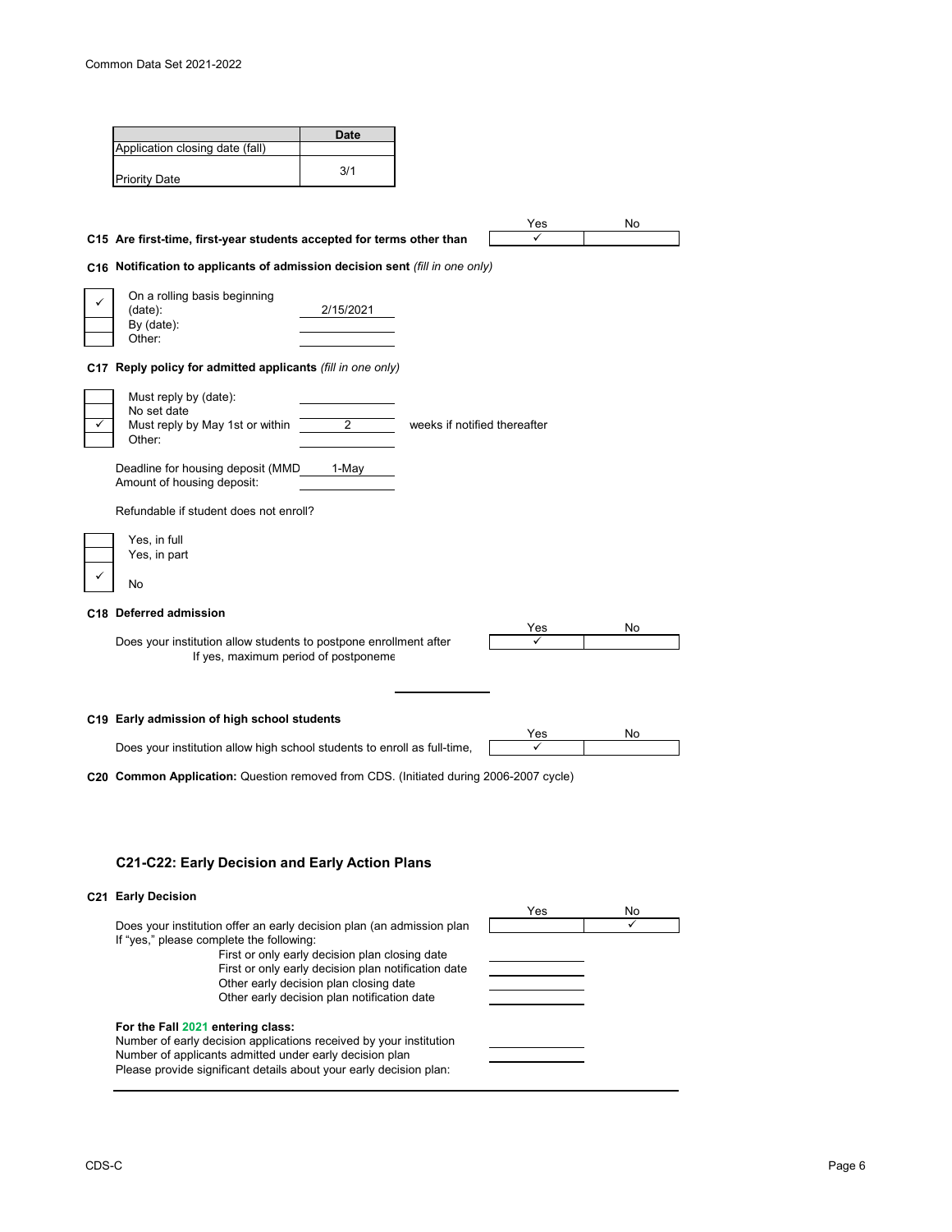|                                                                              | <b>Date</b> |                              |              |     |
|------------------------------------------------------------------------------|-------------|------------------------------|--------------|-----|
| Application closing date (fall)                                              |             |                              |              |     |
| <b>Priority Date</b>                                                         | 3/1         |                              |              |     |
|                                                                              |             |                              |              |     |
| C15 Are first-time, first-year students accepted for terms other than        |             |                              | Yes          | No  |
| C16 Notification to applicants of admission decision sent (fill in one only) |             |                              |              |     |
| On a rolling basis beginning                                                 |             |                              |              |     |
| (data):                                                                      | 2/15/2021   |                              |              |     |
| By (date):<br>Other:                                                         |             |                              |              |     |
| C17 Reply policy for admitted applicants (fill in one only)                  |             |                              |              |     |
| Must reply by (date):                                                        |             |                              |              |     |
| No set date                                                                  |             |                              |              |     |
| Must reply by May 1st or within<br>✓<br>Other:                               | 2           | weeks if notified thereafter |              |     |
| Deadline for housing deposit (MMD<br>Amount of housing deposit:              | 1-May       |                              |              |     |
| Refundable if student does not enroll?                                       |             |                              |              |     |
| Yes, in full                                                                 |             |                              |              |     |
| Yes, in part                                                                 |             |                              |              |     |
| No                                                                           |             |                              |              |     |
| C18 Deferred admission                                                       |             |                              |              |     |
| Does your institution allow students to postpone enrollment after            |             |                              | Yes<br>✓     | No. |
| If yes, maximum period of postponeme                                         |             |                              |              |     |
|                                                                              |             |                              |              |     |
| C19 Early admission of high school students                                  |             |                              | Yes          | No. |
|                                                                              |             |                              | $\checkmark$ |     |
| Does your institution allow high school students to enroll as full-time,     |             |                              |              |     |

# **C21-C22: Early Decision and Early Action Plans**

## **C21 Early Decision**

| <b>LAILY DECISION</b>                                                                                                                                              | Yes | No |
|--------------------------------------------------------------------------------------------------------------------------------------------------------------------|-----|----|
| Does your institution offer an early decision plan (an admission plan<br>If "yes," please complete the following:                                                  |     |    |
| First or only early decision plan closing date                                                                                                                     |     |    |
| First or only early decision plan notification date                                                                                                                |     |    |
| Other early decision plan closing date                                                                                                                             |     |    |
| Other early decision plan notification date                                                                                                                        |     |    |
| For the Fall 2021 entering class:<br>Number of early decision applications received by your institution<br>Number of applicants admitted under early decision plan |     |    |
| Please provide significant details about your early decision plan:                                                                                                 |     |    |

 $\overline{\phantom{0}}$